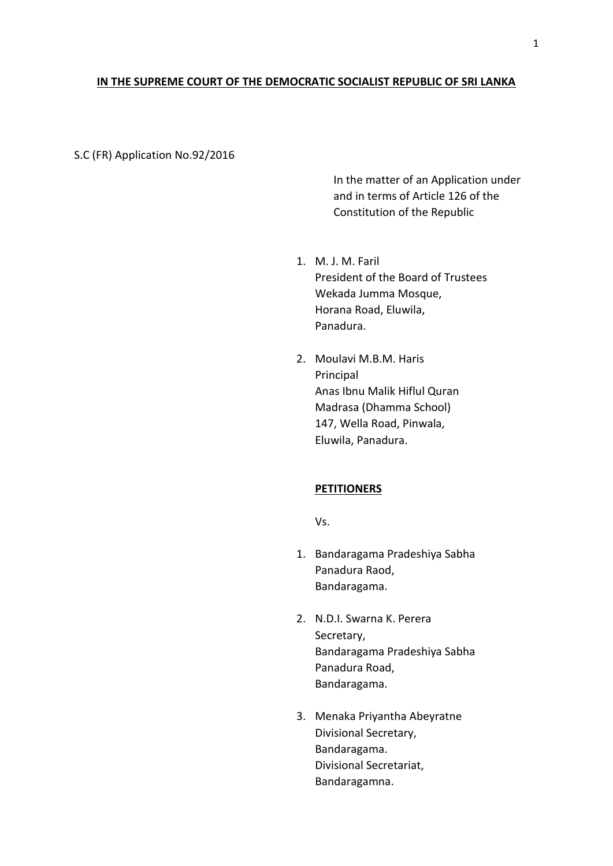## **IN THE SUPREME COURT OF THE DEMOCRATIC SOCIALIST REPUBLIC OF SRI LANKA**

### S.C (FR) Application No.92/2016

In the matter of an Application under and in terms of Article 126 of the Constitution of the Republic

- 1. M. J. M. Faril President of the Board of Trustees Wekada Jumma Mosque, Horana Road, Eluwila, Panadura.
- 2. Moulavi M.B.M. Haris Principal Anas Ibnu Malik Hiflul Quran Madrasa (Dhamma School) 147, Wella Road, Pinwala, Eluwila, Panadura.

# **PETITIONERS**

Vs.

- 1. Bandaragama Pradeshiya Sabha Panadura Raod, Bandaragama.
- 2. N.D.I. Swarna K. Perera Secretary, Bandaragama Pradeshiya Sabha Panadura Road, Bandaragama.
- 3. Menaka Priyantha Abeyratne Divisional Secretary, Bandaragama. Divisional Secretariat, Bandaragamna.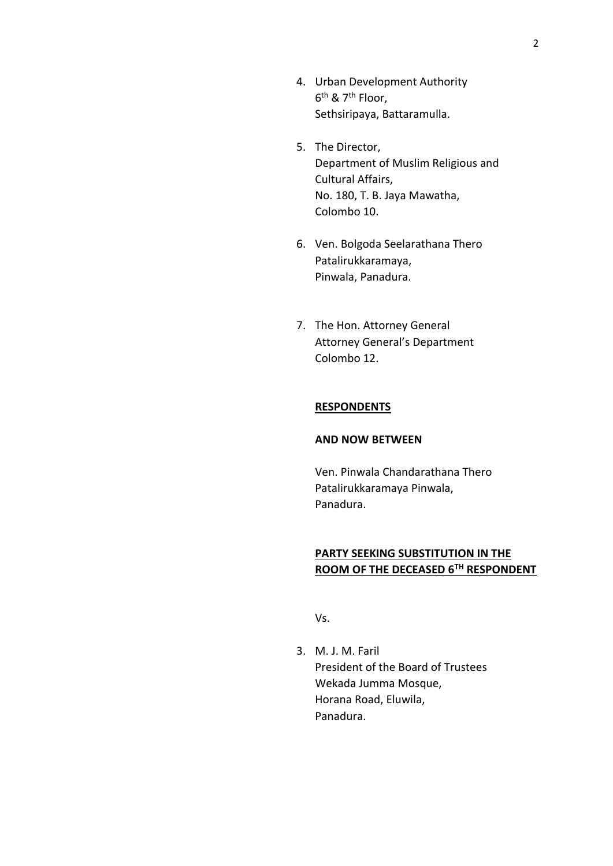- 4. Urban Development Authority 6 th & 7th Floor, Sethsiripaya, Battaramulla.
- 5. The Director, Department of Muslim Religious and Cultural Affairs, No. 180, T. B. Jaya Mawatha, Colombo 10.
- 6. Ven. Bolgoda Seelarathana Thero Patalirukkaramaya, Pinwala, Panadura.
- 7. The Hon. Attorney General Attorney General's Department Colombo 12.

### **RESPONDENTS**

### **AND NOW BETWEEN**

Ven. Pinwala Chandarathana Thero Patalirukkaramaya Pinwala, Panadura.

# **PARTY SEEKING SUBSTITUTION IN THE ROOM OF THE DECEASED 6TH RESPONDENT**

Vs.

3. M. J. M. Faril President of the Board of Trustees Wekada Jumma Mosque, Horana Road, Eluwila, Panadura.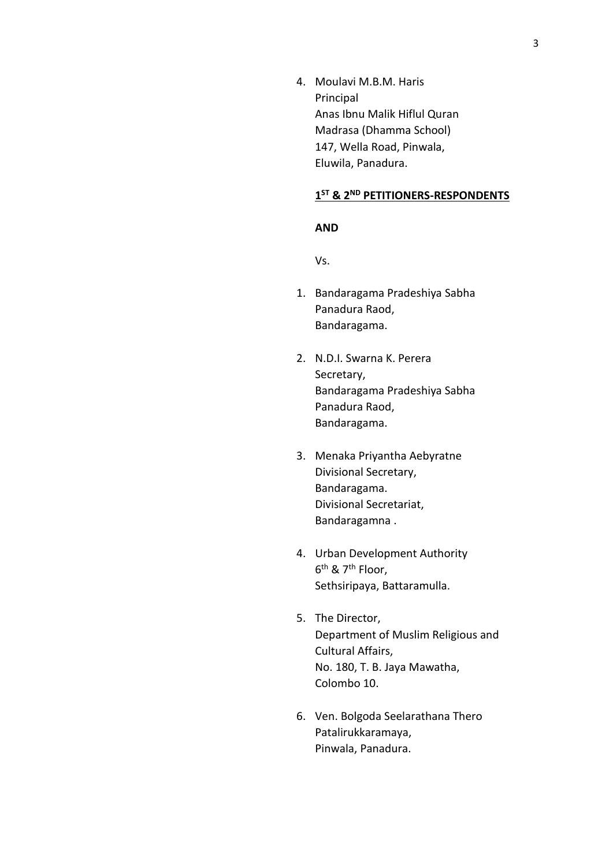4. Moulavi M.B.M. Haris Principal Anas Ibnu Malik Hiflul Quran Madrasa (Dhamma School) 147, Wella Road, Pinwala, Eluwila, Panadura.

# **1 ST & 2ND PETITIONERS-RESPONDENTS**

#### **AND**

Vs.

- 1. Bandaragama Pradeshiya Sabha Panadura Raod, Bandaragama.
- 2. N.D.I. Swarna K. Perera Secretary, Bandaragama Pradeshiya Sabha Panadura Raod, Bandaragama.
- 3. Menaka Priyantha Aebyratne Divisional Secretary, Bandaragama. Divisional Secretariat, Bandaragamna .
- 4. Urban Development Authority 6 th & 7th Floor, Sethsiripaya, Battaramulla.
- 5. The Director, Department of Muslim Religious and Cultural Affairs, No. 180, T. B. Jaya Mawatha, Colombo 10.
- 6. Ven. Bolgoda Seelarathana Thero Patalirukkaramaya, Pinwala, Panadura.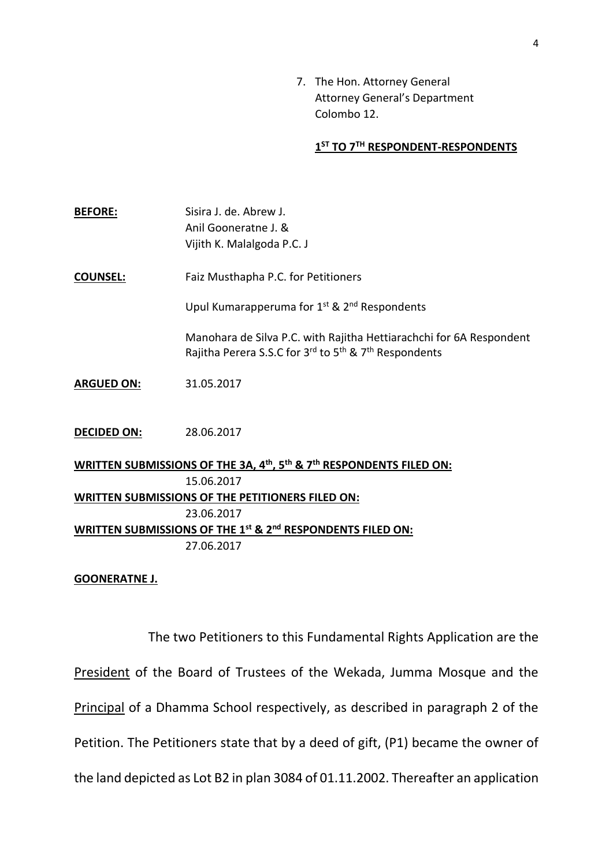7. The Hon. Attorney General Attorney General's Department Colombo 12.

# **1 ST TO 7TH RESPONDENT-RESPONDENTS**

**BEFORE:** Sisira J. de. Abrew J. Anil Gooneratne J. & Vijith K. Malalgoda P.C. J **COUNSEL:** Faiz Musthapha P.C. for Petitioners Upul Kumarapperuma for 1<sup>st</sup> & 2<sup>nd</sup> Respondents Manohara de Silva P.C. with Rajitha Hettiarachchi for 6A Respondent Rajitha Perera S.S.C for 3<sup>rd</sup> to 5<sup>th</sup> & 7<sup>th</sup> Respondents **ARGUED ON:** 31.05.2017 **DECIDED ON:** 28.06.2017 **WRITTEN SUBMISSIONS OF THE 3A, 4th, 5th & 7th RESPONDENTS FILED ON:** 15.06.2017 **WRITTEN SUBMISSIONS OF THE PETITIONERS FILED ON:** 23.06.2017

**WRITTEN SUBMISSIONS OF THE 1st & 2nd RESPONDENTS FILED ON:** 27.06.2017

### **GOONERATNE J.**

The two Petitioners to this Fundamental Rights Application are the President of the Board of Trustees of the Wekada, Jumma Mosque and the Principal of a Dhamma School respectively, as described in paragraph 2 of the Petition. The Petitioners state that by a deed of gift, (P1) became the owner of the land depicted as Lot B2 in plan 3084 of 01.11.2002. Thereafter an application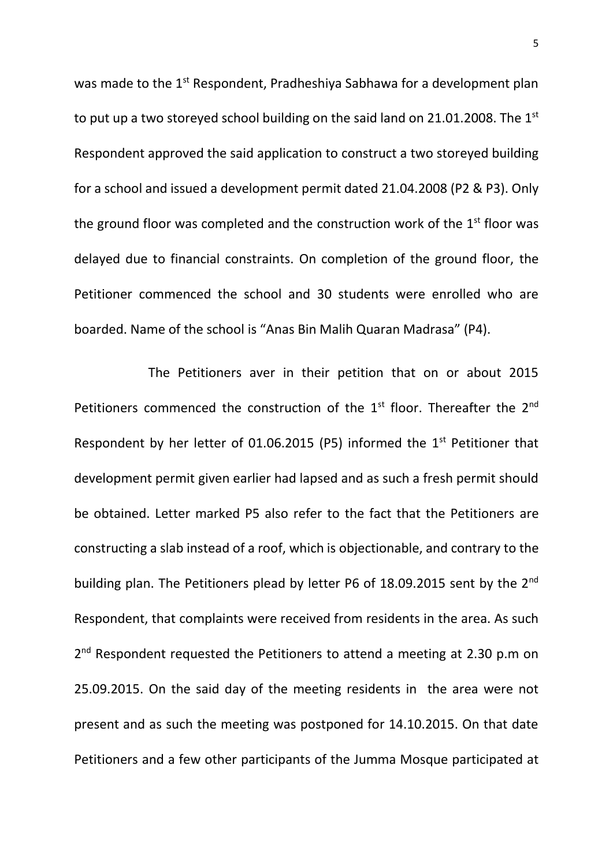was made to the 1<sup>st</sup> Respondent, Pradheshiya Sabhawa for a development plan to put up a two storeyed school building on the said land on 21.01.2008. The  $1<sup>st</sup>$ Respondent approved the said application to construct a two storeyed building for a school and issued a development permit dated 21.04.2008 (P2 & P3). Only the ground floor was completed and the construction work of the  $1<sup>st</sup>$  floor was delayed due to financial constraints. On completion of the ground floor, the Petitioner commenced the school and 30 students were enrolled who are boarded. Name of the school is "Anas Bin Malih Quaran Madrasa" (P4).

The Petitioners aver in their petition that on or about 2015 Petitioners commenced the construction of the  $1<sup>st</sup>$  floor. Thereafter the  $2<sup>nd</sup>$ Respondent by her letter of 01.06.2015 (P5) informed the  $1<sup>st</sup>$  Petitioner that development permit given earlier had lapsed and as such a fresh permit should be obtained. Letter marked P5 also refer to the fact that the Petitioners are constructing a slab instead of a roof, which is objectionable, and contrary to the building plan. The Petitioners plead by letter P6 of 18.09.2015 sent by the 2<sup>nd</sup> Respondent, that complaints were received from residents in the area. As such 2<sup>nd</sup> Respondent requested the Petitioners to attend a meeting at 2.30 p.m on 25.09.2015. On the said day of the meeting residents in the area were not present and as such the meeting was postponed for 14.10.2015. On that date Petitioners and a few other participants of the Jumma Mosque participated at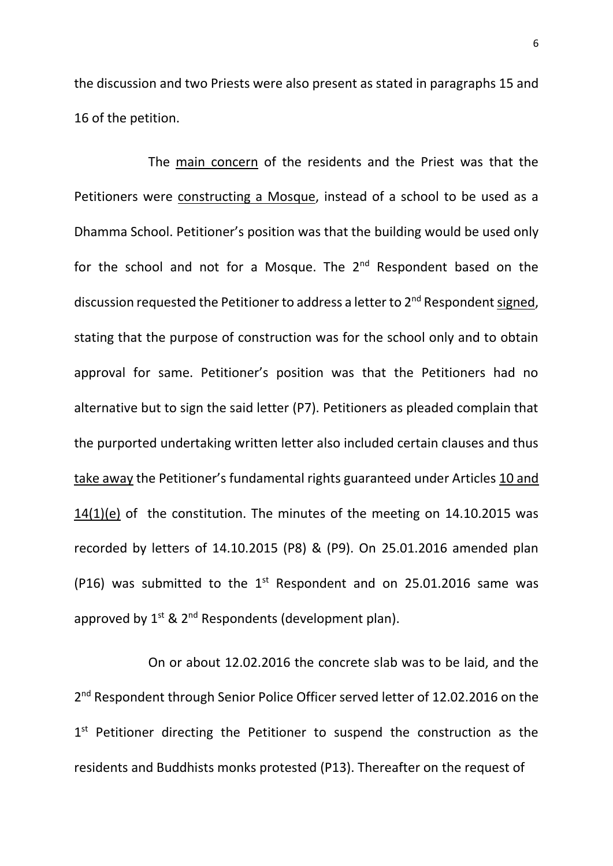the discussion and two Priests were also present as stated in paragraphs 15 and 16 of the petition.

The main concern of the residents and the Priest was that the Petitioners were constructing a Mosque, instead of a school to be used as a Dhamma School. Petitioner's position was that the building would be used only for the school and not for a Mosque. The 2<sup>nd</sup> Respondent based on the discussion requested the Petitioner to address a letter to 2<sup>nd</sup> Respondent signed, stating that the purpose of construction was for the school only and to obtain approval for same. Petitioner's position was that the Petitioners had no alternative but to sign the said letter (P7). Petitioners as pleaded complain that the purported undertaking written letter also included certain clauses and thus take away the Petitioner's fundamental rights guaranteed under Articles 10 and 14(1)(e) of the constitution. The minutes of the meeting on 14.10.2015 was recorded by letters of 14.10.2015 (P8) & (P9). On 25.01.2016 amended plan (P16) was submitted to the  $1<sup>st</sup>$  Respondent and on 25.01.2016 same was approved by  $1^{st}$  &  $2^{nd}$  Respondents (development plan).

On or about 12.02.2016 the concrete slab was to be laid, and the 2<sup>nd</sup> Respondent through Senior Police Officer served letter of 12.02.2016 on the 1<sup>st</sup> Petitioner directing the Petitioner to suspend the construction as the residents and Buddhists monks protested (P13). Thereafter on the request of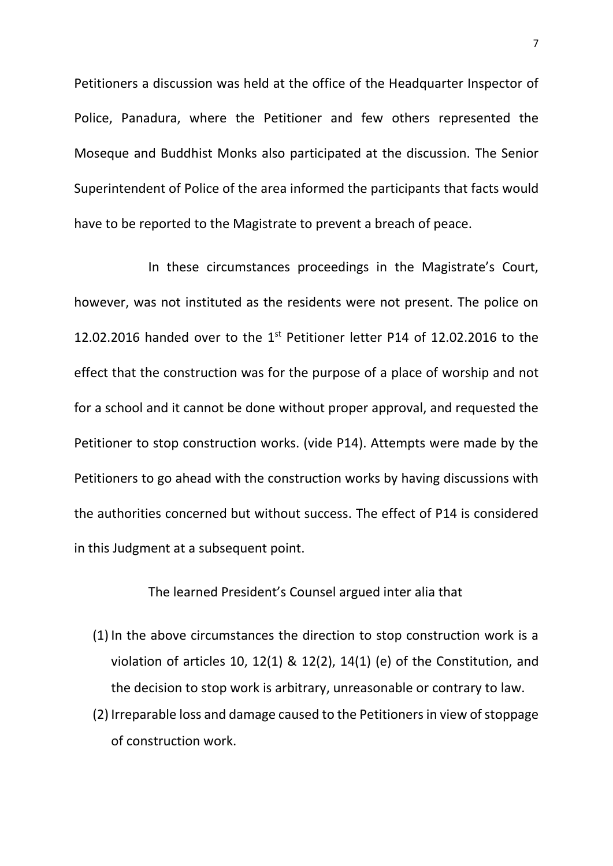Petitioners a discussion was held at the office of the Headquarter Inspector of Police, Panadura, where the Petitioner and few others represented the Moseque and Buddhist Monks also participated at the discussion. The Senior Superintendent of Police of the area informed the participants that facts would have to be reported to the Magistrate to prevent a breach of peace.

In these circumstances proceedings in the Magistrate's Court, however, was not instituted as the residents were not present. The police on 12.02.2016 handed over to the  $1<sup>st</sup>$  Petitioner letter P14 of 12.02.2016 to the effect that the construction was for the purpose of a place of worship and not for a school and it cannot be done without proper approval, and requested the Petitioner to stop construction works. (vide P14). Attempts were made by the Petitioners to go ahead with the construction works by having discussions with the authorities concerned but without success. The effect of P14 is considered in this Judgment at a subsequent point.

The learned President's Counsel argued inter alia that

- (1) In the above circumstances the direction to stop construction work is a violation of articles 10, 12(1) & 12(2), 14(1) (e) of the Constitution, and the decision to stop work is arbitrary, unreasonable or contrary to law.
- (2) Irreparable loss and damage caused to the Petitioners in view of stoppage of construction work.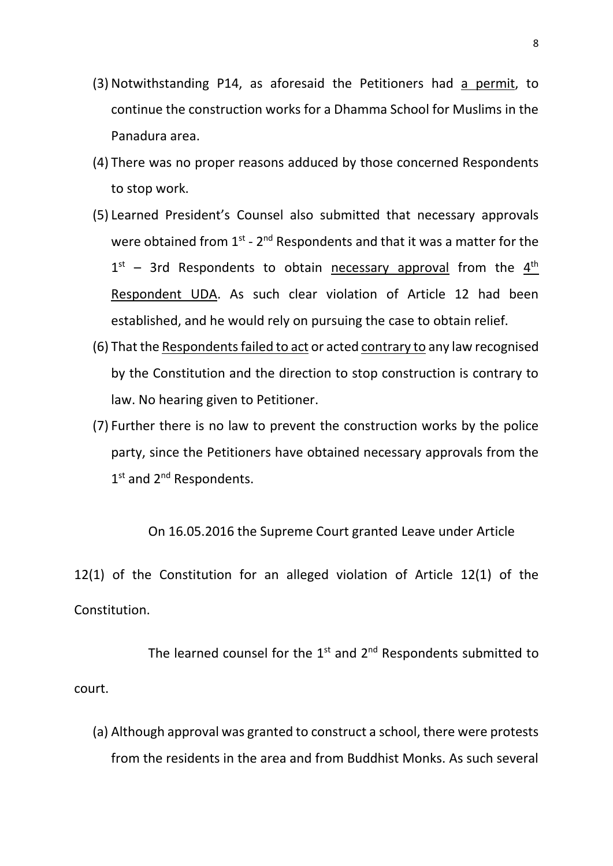- (3) Notwithstanding P14, as aforesaid the Petitioners had a permit, to continue the construction works for a Dhamma School for Muslims in the Panadura area.
- (4) There was no proper reasons adduced by those concerned Respondents to stop work.
- (5) Learned President's Counsel also submitted that necessary approvals were obtained from  $1^{st}$  -  $2^{nd}$  Respondents and that it was a matter for the  $1<sup>st</sup>$  – 3rd Respondents to obtain necessary approval from the  $4<sup>th</sup>$ Respondent UDA. As such clear violation of Article 12 had been established, and he would rely on pursuing the case to obtain relief.
- (6) That the Respondentsfailed to act or acted contrary to any law recognised by the Constitution and the direction to stop construction is contrary to law. No hearing given to Petitioner.
- (7) Further there is no law to prevent the construction works by the police party, since the Petitioners have obtained necessary approvals from the 1st and 2<sup>nd</sup> Respondents.

On 16.05.2016 the Supreme Court granted Leave under Article

12(1) of the Constitution for an alleged violation of Article 12(1) of the Constitution.

The learned counsel for the  $1<sup>st</sup>$  and  $2<sup>nd</sup>$  Respondents submitted to court.

(a) Although approval was granted to construct a school, there were protests from the residents in the area and from Buddhist Monks. As such several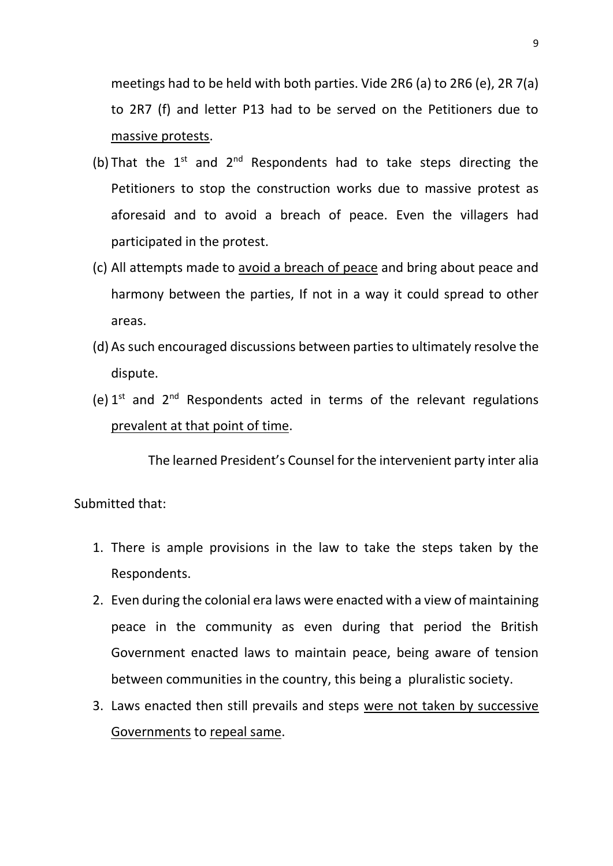meetings had to be held with both parties. Vide 2R6 (a) to 2R6 (e), 2R 7(a) to 2R7 (f) and letter P13 had to be served on the Petitioners due to massive protests.

- (b) That the  $1^{st}$  and  $2^{nd}$  Respondents had to take steps directing the Petitioners to stop the construction works due to massive protest as aforesaid and to avoid a breach of peace. Even the villagers had participated in the protest.
- (c) All attempts made to avoid a breach of peace and bring about peace and harmony between the parties, If not in a way it could spread to other areas.
- (d) As such encouraged discussions between parties to ultimately resolve the dispute.
- (e)  $1^{st}$  and  $2^{nd}$  Respondents acted in terms of the relevant regulations prevalent at that point of time.

The learned President's Counsel for the intervenient party inter alia

Submitted that:

- 1. There is ample provisions in the law to take the steps taken by the Respondents.
- 2. Even during the colonial era laws were enacted with a view of maintaining peace in the community as even during that period the British Government enacted laws to maintain peace, being aware of tension between communities in the country, this being a pluralistic society.
- 3. Laws enacted then still prevails and steps were not taken by successive Governments to repeal same.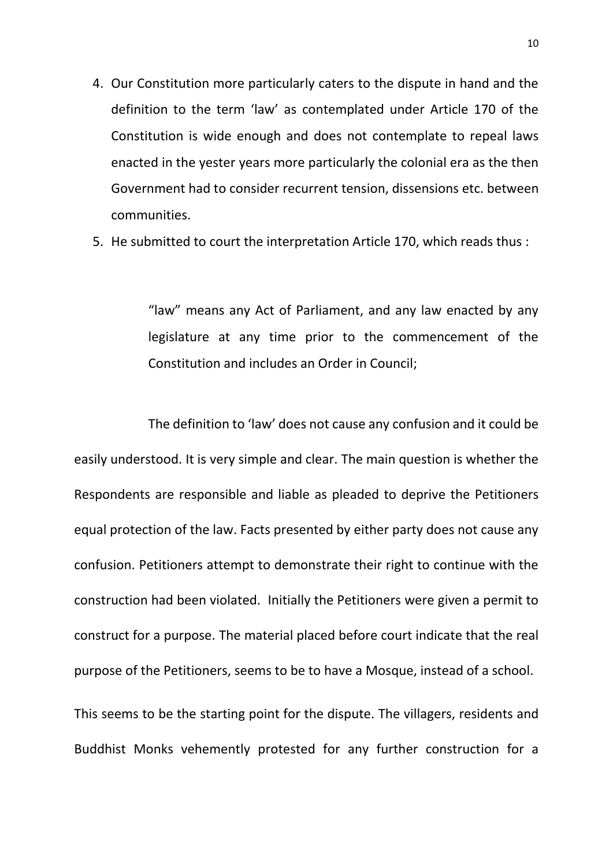- 4. Our Constitution more particularly caters to the dispute in hand and the definition to the term 'law' as contemplated under Article 170 of the Constitution is wide enough and does not contemplate to repeal laws enacted in the yester years more particularly the colonial era as the then Government had to consider recurrent tension, dissensions etc. between communities.
- 5. He submitted to court the interpretation Article 170, which reads thus :

"law" means any Act of Parliament, and any law enacted by any legislature at any time prior to the commencement of the Constitution and includes an Order in Council;

The definition to 'law' does not cause any confusion and it could be easily understood. It is very simple and clear. The main question is whether the Respondents are responsible and liable as pleaded to deprive the Petitioners equal protection of the law. Facts presented by either party does not cause any confusion. Petitioners attempt to demonstrate their right to continue with the construction had been violated. Initially the Petitioners were given a permit to construct for a purpose. The material placed before court indicate that the real purpose of the Petitioners, seems to be to have a Mosque, instead of a school.

This seems to be the starting point for the dispute. The villagers, residents and Buddhist Monks vehemently protested for any further construction for a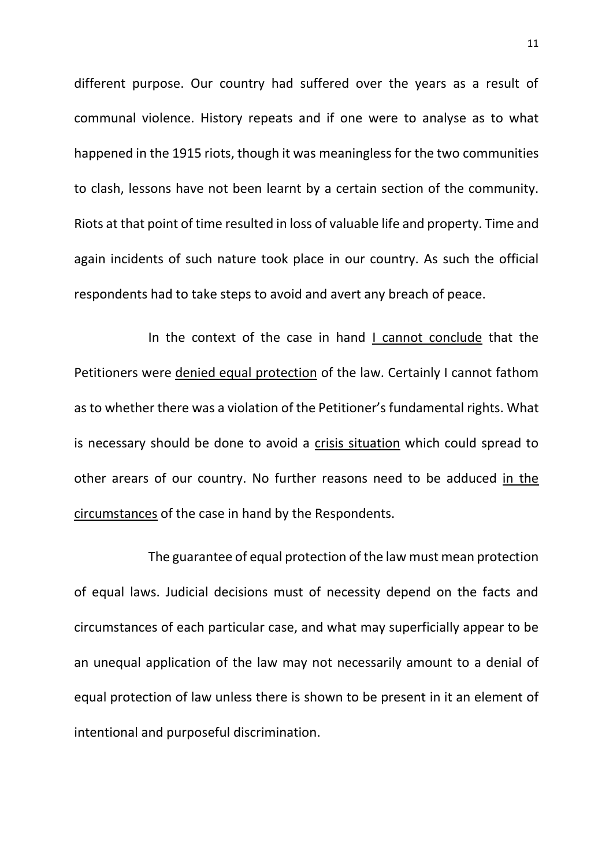different purpose. Our country had suffered over the years as a result of communal violence. History repeats and if one were to analyse as to what happened in the 1915 riots, though it was meaningless for the two communities to clash, lessons have not been learnt by a certain section of the community. Riots at that point of time resulted in loss of valuable life and property. Time and again incidents of such nature took place in our country. As such the official respondents had to take steps to avoid and avert any breach of peace.

In the context of the case in hand I cannot conclude that the Petitioners were denied equal protection of the law. Certainly I cannot fathom as to whether there was a violation of the Petitioner's fundamental rights. What is necessary should be done to avoid a crisis situation which could spread to other arears of our country. No further reasons need to be adduced in the circumstances of the case in hand by the Respondents.

The guarantee of equal protection of the law must mean protection of equal laws. Judicial decisions must of necessity depend on the facts and circumstances of each particular case, and what may superficially appear to be an unequal application of the law may not necessarily amount to a denial of equal protection of law unless there is shown to be present in it an element of intentional and purposeful discrimination.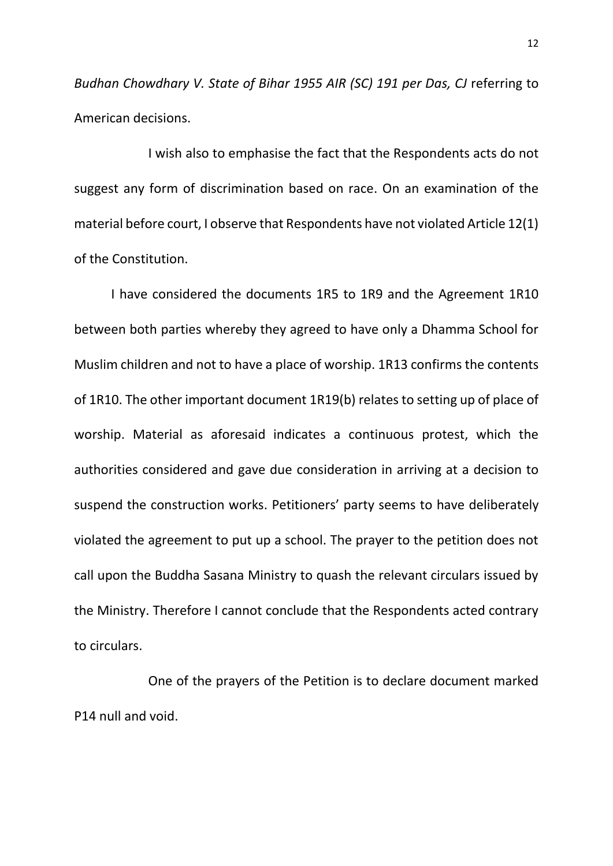*Budhan Chowdhary V. State of Bihar 1955 AIR (SC) 191 per Das, CJ* referring to American decisions.

I wish also to emphasise the fact that the Respondents acts do not suggest any form of discrimination based on race. On an examination of the material before court, I observe that Respondents have not violated Article 12(1) of the Constitution.

I have considered the documents 1R5 to 1R9 and the Agreement 1R10 between both parties whereby they agreed to have only a Dhamma School for Muslim children and not to have a place of worship. 1R13 confirms the contents of 1R10. The other important document 1R19(b) relates to setting up of place of worship. Material as aforesaid indicates a continuous protest, which the authorities considered and gave due consideration in arriving at a decision to suspend the construction works. Petitioners' party seems to have deliberately violated the agreement to put up a school. The prayer to the petition does not call upon the Buddha Sasana Ministry to quash the relevant circulars issued by the Ministry. Therefore I cannot conclude that the Respondents acted contrary to circulars.

One of the prayers of the Petition is to declare document marked P14 null and void.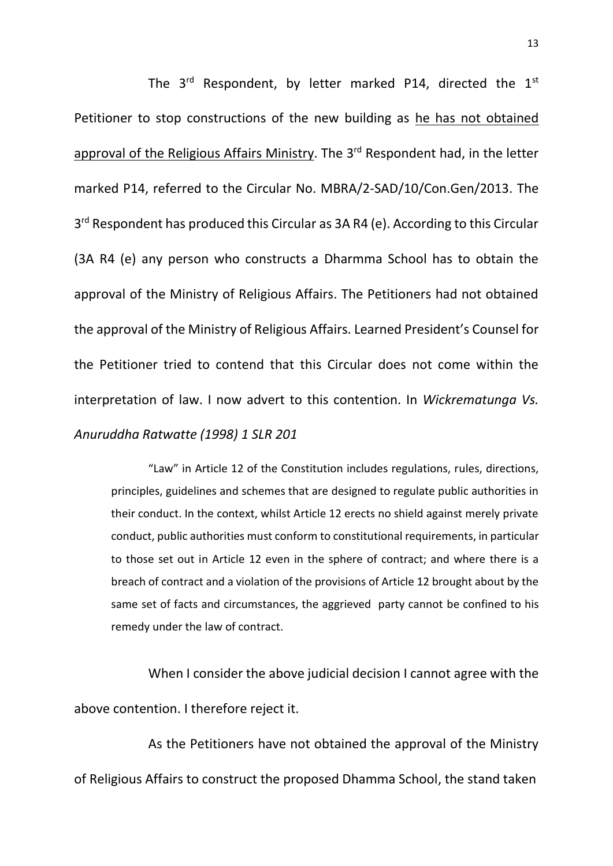The  $3^{rd}$  Respondent, by letter marked P14, directed the  $1^{st}$ Petitioner to stop constructions of the new building as he has not obtained approval of the Religious Affairs Ministry. The 3<sup>rd</sup> Respondent had, in the letter marked P14, referred to the Circular No. MBRA/2-SAD/10/Con.Gen/2013. The 3<sup>rd</sup> Respondent has produced this Circular as 3A R4 (e). According to this Circular (3A R4 (e) any person who constructs a Dharmma School has to obtain the approval of the Ministry of Religious Affairs. The Petitioners had not obtained the approval of the Ministry of Religious Affairs. Learned President's Counsel for the Petitioner tried to contend that this Circular does not come within the interpretation of law. I now advert to this contention. In *Wickrematunga Vs. Anuruddha Ratwatte (1998) 1 SLR 201* 

"Law" in Article 12 of the Constitution includes regulations, rules, directions, principles, guidelines and schemes that are designed to regulate public authorities in their conduct. In the context, whilst Article 12 erects no shield against merely private conduct, public authorities must conform to constitutional requirements, in particular to those set out in Article 12 even in the sphere of contract; and where there is a breach of contract and a violation of the provisions of Article 12 brought about by the same set of facts and circumstances, the aggrieved party cannot be confined to his remedy under the law of contract.

When I consider the above judicial decision I cannot agree with the above contention. I therefore reject it.

As the Petitioners have not obtained the approval of the Ministry of Religious Affairs to construct the proposed Dhamma School, the stand taken